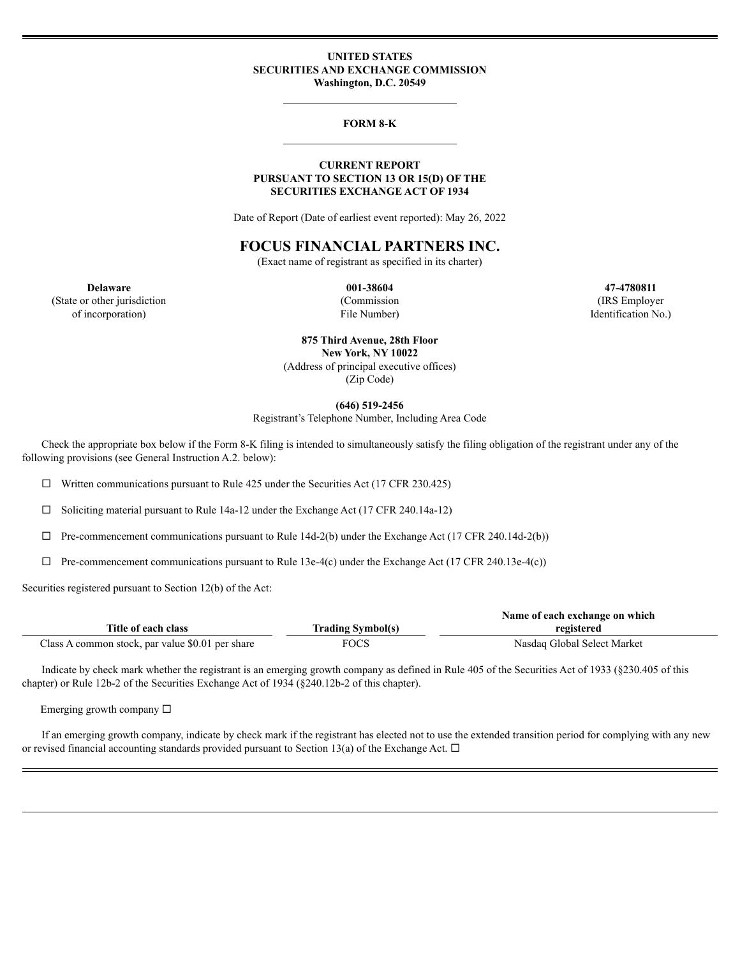#### **UNITED STATES SECURITIES AND EXCHANGE COMMISSION Washington, D.C. 20549**

#### **FORM 8-K**

#### **CURRENT REPORT PURSUANT TO SECTION 13 OR 15(D) OF THE SECURITIES EXCHANGE ACT OF 1934**

Date of Report (Date of earliest event reported): May 26, 2022

# **FOCUS FINANCIAL PARTNERS INC.**

(Exact name of registrant as specified in its charter)

**Delaware 001-38604 47-4780811** (State or other jurisdiction (Commission (IRS Employer

**875 Third Avenue, 28th Floor New York, NY 10022** (Address of principal executive offices) (Zip Code)

**(646) 519-2456**

Registrant's Telephone Number, Including Area Code

Check the appropriate box below if the Form 8-K filing is intended to simultaneously satisfy the filing obligation of the registrant under any of the following provisions (see General Instruction A.2. below):

 $\Box$  Written communications pursuant to Rule 425 under the Securities Act (17 CFR 230.425)

 $\Box$  Soliciting material pursuant to Rule 14a-12 under the Exchange Act (17 CFR 240.14a-12)

 $\Box$  Pre-commencement communications pursuant to Rule 14d-2(b) under the Exchange Act (17 CFR 240.14d-2(b))

 $\Box$  Pre-commencement communications pursuant to Rule 13e-4(c) under the Exchange Act (17 CFR 240.13e-4(c))

Securities registered pursuant to Section 12(b) of the Act:

|                                                  |                          | Name of each exchange on which |  |
|--------------------------------------------------|--------------------------|--------------------------------|--|
| Title of each class                              | <b>Trading Symbol(s)</b> | registered                     |  |
| Class A common stock, par value \$0.01 per share | FOCS                     | Nasdaq Global Select Market    |  |

Indicate by check mark whether the registrant is an emerging growth company as defined in Rule 405 of the Securities Act of 1933 (§230.405 of this chapter) or Rule 12b-2 of the Securities Exchange Act of 1934 (§240.12b-2 of this chapter).

Emerging growth company  $\square$ 

If an emerging growth company, indicate by check mark if the registrant has elected not to use the extended transition period for complying with any new or revised financial accounting standards provided pursuant to Section 13(a) of the Exchange Act.  $\Box$ 

of incorporation) File Number) Identification No.)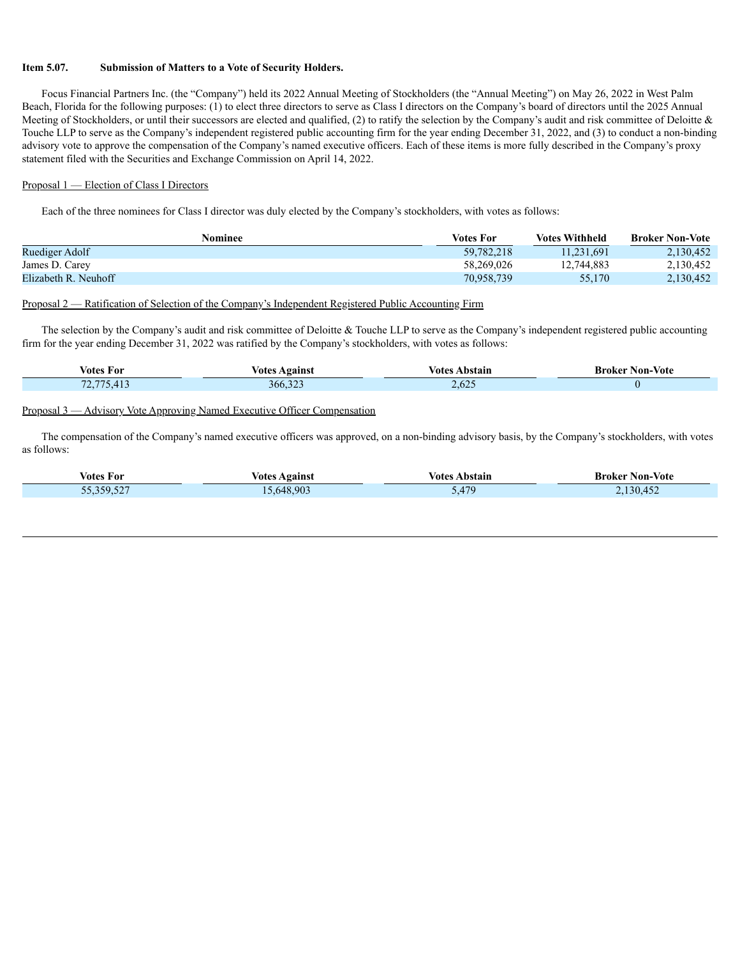#### **Item 5.07. Submission of Matters to a Vote of Security Holders.**

Focus Financial Partners Inc. (the "Company") held its 2022 Annual Meeting of Stockholders (the "Annual Meeting") on May 26, 2022 in West Palm Beach, Florida for the following purposes: (1) to elect three directors to serve as Class I directors on the Company's board of directors until the 2025 Annual Meeting of Stockholders, or until their successors are elected and qualified,  $(2)$  to ratify the selection by the Company's audit and risk committee of Deloitte  $\&$ Touche LLP to serve as the Company's independent registered public accounting firm for the year ending December 31, 2022, and (3) to conduct a non-binding advisory vote to approve the compensation of the Company's named executive officers. Each of these items is more fully described in the Company's proxy statement filed with the Securities and Exchange Commission on April 14, 2022.

#### Proposal 1 — Election of Class I Directors

Each of the three nominees for Class I director was duly elected by the Company's stockholders, with votes as follows:

| Nominee              | <b>Votes For</b> | <b>Votes Withheld</b> | <b>Broker Non-Vote</b> |
|----------------------|------------------|-----------------------|------------------------|
| Ruediger Adolf       | 59,782,218       | 11.231.691            | 2.130.452              |
| James D. Carey       | 58,269,026       | 12.744.883            | 2,130,452              |
| Elizabeth R. Neuhoff | 70,958,739       | 55,170                | 2,130,452              |

#### Proposal 2 — Ratification of Selection of the Company's Independent Registered Public Accounting Firm

The selection by the Company's audit and risk committee of Deloitte & Touche LLP to serve as the Company's independent registered public accounting firm for the year ending December 31, 2022 was ratified by the Company's stockholders, with votes as follows:

| . .                | Agains                         | otes               | Broker   |
|--------------------|--------------------------------|--------------------|----------|
| votes For          | √otes                          | bstain             | Non-Vote |
| $\pi$ $\sim$ $\pi$ | $\sim$ $\sim$ $\sim$<br>300.32 | $\sim$<br>$-0.025$ |          |

## Proposal 3 — Advisory Vote Approving Named Executive Officer Compensation

The compensation of the Company's named executive officers was approved, on a non-binding advisory basis, by the Company's stockholders, with votes as follows:

| <b>Votes For</b> | Votes Against | /otes<br>Abstain  | <b>Broker Non-Vote</b> |
|------------------|---------------|-------------------|------------------------|
| 55 359 527       | .648.903      | 470<br>۱Д<br>◡. ॱ | 130.45                 |